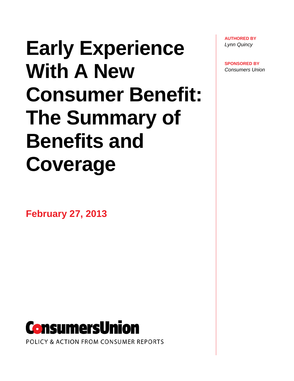# **Early Experience With A New Consumer Benefit: The Summary of Benefits and Coverage**

**February 27, 2013** 



POLICY & ACTION FROM CONSUMER REPORTS

**AUTHORED BY** *Lynn Quincy* 

**SPONSORED BY**  *Consumers Union*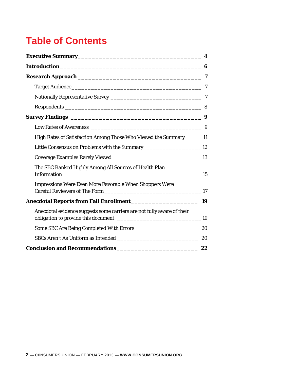# **Table of Contents**

| High Rates of Satisfaction Among Those Who Viewed the Summary ______ 11           |    |
|-----------------------------------------------------------------------------------|----|
| Little Consensus on Problems with the Summary__________________________________12 |    |
|                                                                                   |    |
| The SBC Ranked Highly Among All Sources of Health Plan                            |    |
| Impressions Were Even More Favorable When Shoppers Were                           |    |
|                                                                                   | 19 |
| Anecdotal evidence suggests some carriers are not fully aware of their            |    |
|                                                                                   |    |
|                                                                                   | 20 |
| Conclusion and Recommendations ______________________________ 22                  |    |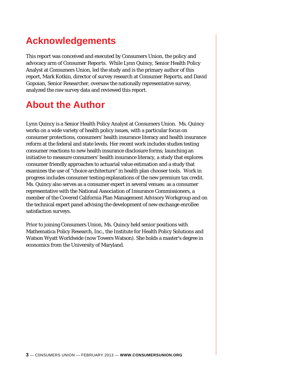## **Acknowledgements**

This report was conceived and executed by Consumers Union, the policy and advocacy arm of *Consumer Reports*. While Lynn Quincy, Senior Health Policy Analyst at Consumers Union, led the study and is the primary author of this report, Mark Kotkin, director of survey research at *Consumer Reports*, and David Gopoian, Senior Researcher, oversaw the nationally representative survey, analyzed the raw survey data and reviewed this report.

### **About the Author**

Lynn Quincy is a Senior Health Policy Analyst at Consumers Union. Ms. Quincy works on a wide variety of health policy issues, with a particular focus on consumer protections, consumers' health insurance literacy and health insurance reform at the federal and state levels. Her recent work includes studies testing consumer reactions to new health insurance disclosure forms; launching an initiative to measure consumers' health insurance literacy, a study that explores consumer friendly approaches to actuarial value estimation and a study that examines the use of "choice architecture" in health plan chooser tools. Work in progress includes consumer testing explanations of the new premium tax credit. Ms. Quincy also serves as a consumer expert in several venues: as a consumer representative with the National Association of Insurance Commissioners, a member of the Covered California Plan Management Advisory Workgroup and on the technical expert panel advising the development of new exchange enrollee satisfaction surveys.

Prior to joining Consumers Union, Ms. Quincy held senior positions with Mathematica Policy Research, Inc., the Institute for Health Policy Solutions and Watson Wyatt Worldwide (now Towers Watson). She holds a master's degree in economics from the University of Maryland.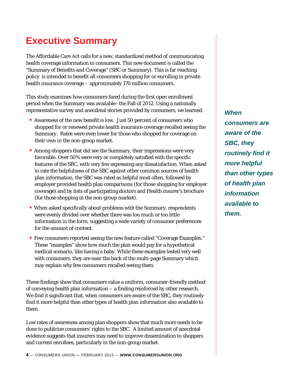# **Executive Summary**

The Affordable Care Act calls for a new, standardized method of communicating health coverage information to consumers. This new document is called the "Summary of Benefits and Coverage" (SBC or Summary). This is far reaching policy is intended to benefit all consumers shopping for or enrolling in private health insurance coverage – approximately 170 million consumers.

This study examines how consumers fared during the first open enrollment period when the Summary was available–the Fall of 2012. Using a nationally representative survey and anecdotal stories provided by consumers, we learned:

- Awareness of the new benefit is low. Just 50 percent of consumers who shopped for or renewed private health insurance coverage recalled seeing the Summary. Rates were even lower for those who shopped for coverage on their own in the non-group market.
- Among shoppers that did see the Summary, their impressions were very favorable. Over 50% were very or completely satisfied with the specific features of the SBC, with very few expressing any dissatisfaction. When asked to rate the helpfulness of the SBC against other common sources of health plan information, the SBC was rated as helpful most often, followed by employer provided health plan comparisons (for those shopping for employer coverage) and by lists of participating doctors and Health insurer's brochure (for those shopping in the non-group market).
- When asked specifically about problems with the Summary, respondents were evenly divided over whether there was too much or too little information in the form, suggesting a wide variety of consumer preferences for the amount of content.
- Few consumers reported seeing the new feature called "Coverage Examples." These "examples" show how much the plan would pay for a hypothetical medical scenario, like having a baby. While these examples tested very well with consumers, they are near the back of the multi-page Summary which may explain why few consumers recalled seeing them.

These findings show that consumers value a uniform, consumer-friendly method of conveying health plan information – a finding reinforced by other research. We find it significant that, when consumers are aware of the SBC, they routinely find it more helpful than other types of health plan information also available to them.

Low rates of awareness among plan shoppers show that much more needs to be done to publicize consumers' rights to the SBC. A limited amount of anecdotal evidence suggests that insurers may need to improve dissemination to shoppers and current enrollees, particularly in the non-group market.

*When consumers are aware of the SBC, they routinely find it more helpful than other types of health plan information available to them.*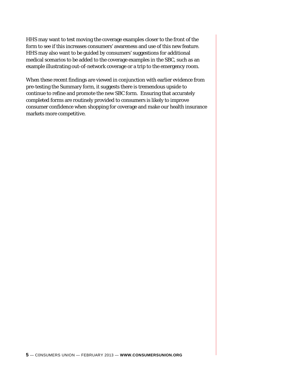HHS may want to test moving the coverage examples closer to the front of the form to see if this increases consumers' awareness and use of this new feature. HHS may also want to be guided by consumers' suggestions for additional medical scenarios to be added to the coverage examples in the SBC, such as an example illustrating out-of-network coverage or a trip to the emergency room.

When these recent findings are viewed in conjunction with earlier evidence from pre-testing the Summary form, it suggests there is tremendous upside to continue to refine and promote the new SBC form. Ensuring that accurately completed forms are routinely provided to consumers is likely to improve consumer confidence when shopping for coverage and make our health insurance markets more competitive.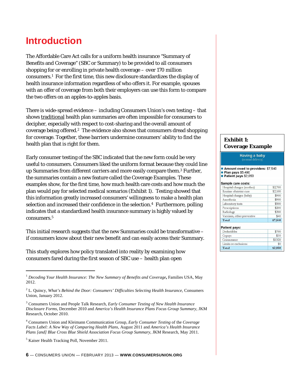### **Introduction**

The Affordable Care Act calls for a uniform health insurance "Summary of Benefits and Coverage" (SBC or Summary) to be provided to all consumers shopping for or enrolling in private health coverage – over 170 million consumers.1 For the first time, this new disclosure standardizes the display of health insurance information regardless of who offers it. For example, spouses with an offer of coverage from both their employers can use this form to compare the two offers on an apples-to-apples basis.

There is wide-spread evidence – including Consumers Union's own testing – that shows traditional health plan summaries are often impossible for consumers to decipher, especially with respect to cost-sharing and the overall amount of coverage being offered.2 The evidence also shows that consumers dread shopping for coverage. Together, these barriers undermine consumers' ability to find the health plan that is right for them.

Early consumer testing of the SBC indicated that the new form could be very useful to consumers. Consumers liked the uniform format because they could line up Summaries from different carriers and more easily compare them.3 Further, the summaries contain a new feature called the Coverage Examples. These examples show, for the first time, how much health care costs and how much the plan would pay for selected medical scenarios (Exhibit 1). Testing showed that this information greatly increased consumers' willingness to make a health plan selection and increased their confidence in the selection.4 Furthermore, polling indicates that a standardized health insurance summary is highly valued by consumers.5

This initial research suggests that the new Summaries could be transformative – if consumers know about their new benefit and can easily access their Summary.

This study explores how policy translated into reality by examining how consumers fared during the first season of SBC use – health plan open

#### **Exhibit 1: Coverage Example**

#### Having a baby

Amount owed to providers: \$7,540 Plan pays \$5,490

#### Patient pays \$2,050

#### Sample care costs: \$2,700 Hospital charges (mother) Routine obstetric care \$2,100 Hospital charges (baby) \$900 Anesthesia \$900 Laboratory tests \$500 Prescriptions \$200 Radiology \$200 Vaccines, other preventive \$40 \$7,540 Total

| <b>Patient pays:</b> |         |
|----------------------|---------|
| Deductibles          | \$700   |
| Copays               | \$30    |
| Coinsurance          | \$1320  |
| Limits or exclusions |         |
| Total                | \$2,050 |

 $\ddot{\phantom{a}}$ <sup>1</sup> *Decoding Your Health Insurance: The New Summary of Benefits and Coverage***,** Families USA, May 2012.

<sup>2</sup> L. Quincy, *What's Behind the Door: Consumers' Difficulties Selecting Health Insurance*, Consumers Union, January 2012.

<sup>3</sup> Consumers Union and People Talk Research, *Early Consumer Testing of New Health Insurance Disclosure Forms*, December 2010 and *America's Health Insurance Plans Focus Group Summary*, JKM Research, October 2010.

<sup>4</sup> Consumers Union and Kleimann Communication Group, *Early Consumer Testing* of the *Coverage Facts Label: A New Way of Comparing Health Plans,* August 2011 and *America's Health Insurance Plans [and] Blue Cross Blue Shield Association Focus Group Summary*, JKM Research, May 2011.

<sup>&</sup>lt;sup>5</sup> Kaiser Health Tracking Poll, November 2011.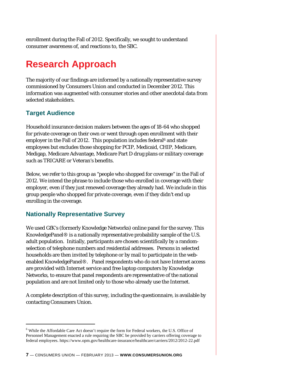enrollment during the Fall of 2012. Specifically, we sought to understand consumer awareness of, and reactions to, the SBC.

# **Research Approach**

The majority of our findings are informed by a nationally representative survey commissioned by Consumers Union and conducted in December 2012. This information was augmented with consumer stories and other anecdotal data from selected stakeholders.

### **Target Audience**

Household insurance decision makers between the ages of 18-64 who shopped for private coverage on their own or went through open enrollment with their employer in the Fall of 2012. This population includes federal<sup>6</sup> and state employees but excludes those shopping for PCIP, Medicaid, CHIP, Medicare, Medigap, Medicare Advantage, Medicare Part D drug plans or military coverage such as TRICARE or Veteran's benefits.

Below, we refer to this group as "people who shopped for coverage" in the Fall of 2012. We intend the phrase to include those who enrolled in coverage with their employer, even if they just renewed coverage they already had. We include in this group people who shopped for private coverage, even if they didn't end up enrolling in the coverage.

### **Nationally Representative Survey**

We used GfK's (formerly Knowledge Networks) online panel for the survey. This KnowledgePanel® is a nationally representative probability sample of the U.S. adult population. Initially, participants are chosen scientifically by a randomselection of telephone numbers and residential addresses. Persons in selected households are then invited by telephone or by mail to participate in the webenabled KnowledgePanel®. Panel respondents who do not have Internet access are provided with Internet service and free laptop computers by Knowledge Networks, to ensure that panel respondents are representative of the national population and are not limited only to those who already use the Internet.

A complete description of this survey, including the questionnaire, is available by contacting Consumers Union.

 $\overline{a}$ <sup>6</sup> While the Affordable Care Act doesn't require the form for Federal workers, the U.S. Office of Personnel Management enacted a rule requiring the SBC be provided by carriers offering coverage to federal employees. https://www.opm.gov/healthcare-insurance/healthcare/carriers/2012/2012-22.pdf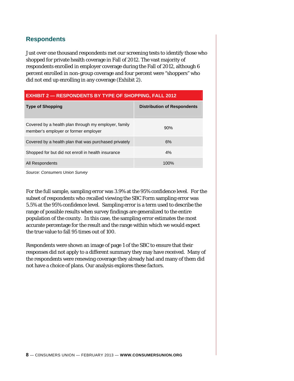### **Respondents**

Just over one thousand respondents met our screening tests to identify those who shopped for private health coverage in Fall of 2012. The vast majority of respondents enrolled in employer coverage during the Fall of 2012, although 6 percent enrolled in non-group coverage and four percent were "shoppers" who did not end up enrolling in any coverage (Exhibit 2).

| <b>EXHIBIT 2 - RESPONDENTS BY TYPE OF SHOPPING, FALL 2012</b> |  |  |
|---------------------------------------------------------------|--|--|
|                                                               |  |  |

| <b>Type of Shopping</b>                                                                      | <b>Distribution of Respondents</b> |
|----------------------------------------------------------------------------------------------|------------------------------------|
| Covered by a health plan through my employer, family<br>member's employer or former employer | 90%                                |
| Covered by a health plan that was purchased privately                                        | 6%                                 |
| Shopped for but did not enroll in health insurance                                           | 4%                                 |
| All Respondents                                                                              | 100%                               |

*Source: Consumers Union Survey* 

For the full sample, sampling error was 3.9% at the 95% confidence level. For the subset of respondents who recalled viewing the SBC Form sampling error was 5.5% at the 95% confidence level. Sampling error is a term used to describe the range of possible results when survey findings are generalized to the entire population of the county. In this case, the sampling error estimates the most accurate percentage for the result and the range within which we would expect the true value to fall 95 times out of 100.

Respondents were shown an image of page 1 of the SBC to ensure that their responses did not apply to a different summary they may have received. Many of the respondents were renewing coverage they already had and many of them did not have a choice of plans. Our analysis explores these factors.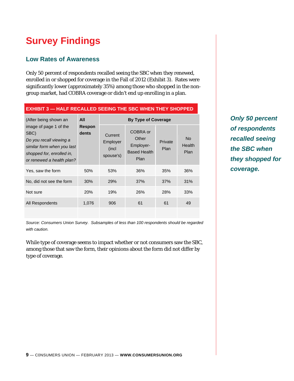# **Survey Findings**

### **Low Rates of Awareness**

Only 50 percent of respondents recalled seeing the SBC when they renewed, enrolled in or shopped for coverage in the Fall of 2012 (Exhibit 3). Rates were significantly lower (approximately 35%) among those who shopped in the nongroup market, had COBRA coverage or didn't end up enrolling in a plan.

| ◡▃▃┅                                                                                                                                              |                 |                                           |                                                               |                 |                             |
|---------------------------------------------------------------------------------------------------------------------------------------------------|-----------------|-------------------------------------------|---------------------------------------------------------------|-----------------|-----------------------------|
| (After being shown an                                                                                                                             | All             | By Type of Coverage                       |                                                               |                 |                             |
| image of page 1 of the<br>SBC)<br>Do you recall viewing a<br>similar form when you last<br>shopped for, enrolled in,<br>or renewed a health plan? | Respon<br>dents | Current<br>Employer<br>(incl<br>spouse's) | COBRA or<br>Other<br>Employer-<br><b>Based Health</b><br>Plan | Private<br>Plan | <b>No</b><br>Health<br>Plan |
| Yes, saw the form                                                                                                                                 | 50%             | 53%                                       | 36%                                                           | 35%             | 36%                         |
| No, did not see the form                                                                                                                          | 30%             | 29%                                       | 37%                                                           | 37%             | 31%                         |
| Not sure                                                                                                                                          | 20%             | 19%                                       | 26%                                                           | 28%             | 33%                         |
| All Respondents                                                                                                                                   | 1,076           | 906                                       | 61                                                            | 61              | 49                          |
|                                                                                                                                                   |                 |                                           |                                                               |                 |                             |

**EXHIBIT 3 — HALF RECALLED SEEING THE SBC WHEN THEY SHOPPED** 

*Source: Consumers Union Survey. Subsamples of less than 100 respondents should be regarded with caution.* 

While type of coverage seems to impact whether or not consumers saw the SBC, among those that saw the form, their opinions about the form did not differ by type of coverage.

*Only 50 percent of respondents recalled seeing the SBC when they shopped for coverage.*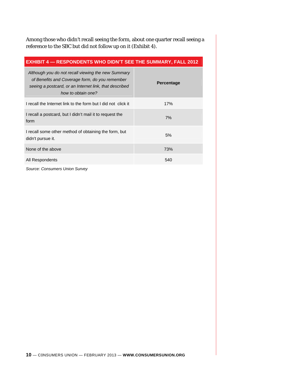Among those who didn't recall seeing the form, about one quarter recall seeing a reference to the SBC but did not follow up on it (Exhibit 4).

| <b>EXHIBIT 4 - RESPONDENTS WHO DIDN'T SEE THE SUMMARY, FALL 2012</b>                                                                                                                 |                   |  |  |
|--------------------------------------------------------------------------------------------------------------------------------------------------------------------------------------|-------------------|--|--|
| Although you do not recall viewing the new Summary<br>of Benefits and Coverage form, do you remember<br>seeing a postcard, or an Internet link, that described<br>how to obtain one? | <b>Percentage</b> |  |  |
| I recall the Internet link to the form but I did not click it                                                                                                                        | 17%               |  |  |
| I recall a postcard, but I didn't mail it to request the<br>form                                                                                                                     | 7%                |  |  |
| I recall some other method of obtaining the form, but<br>didn't pursue it.                                                                                                           | 5%                |  |  |
| None of the above                                                                                                                                                                    | 73%               |  |  |
| All Respondents                                                                                                                                                                      | 540               |  |  |

*Source: Consumers Union Survey*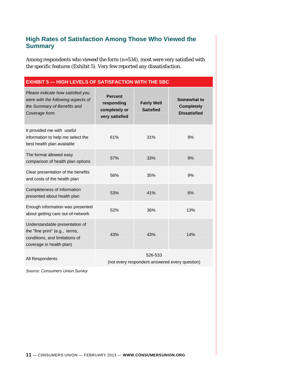#### **High Rates of Satisfaction Among Those Who Viewed the Summary**

Among respondents who viewed the form (n=534), most were very satisfied with the specific features (Exhibit 5). Very few reported any dissatisfaction.

#### **EXHIBIT 5 — HIGH LEVELS OF SATISFACTION WITH THE SBC**

| Please indicate how satisfied you<br>were with the following aspects of<br>the Summary of Benefits and<br>Coverage form.       | <b>Percent</b><br>responding<br>completely or<br>very satisfied | <b>Fairly Well</b><br><b>Satisfied</b> | Somewhat to<br><b>Completely</b><br><b>Dissatisfied</b> |
|--------------------------------------------------------------------------------------------------------------------------------|-----------------------------------------------------------------|----------------------------------------|---------------------------------------------------------|
| It provided me with useful<br>information to help me select the<br>best health plan available                                  | 61%                                                             | 31%                                    | 9%                                                      |
| The format allowed easy<br>comparison of health plan options                                                                   | 57%                                                             | 33%                                    | 9%                                                      |
| Clear presentation of the benefits<br>and costs of the health plan                                                             | 56%                                                             | 35%                                    | 9%                                                      |
| Completeness of information<br>presented about health plan                                                                     | 53%                                                             | 41%                                    | 6%                                                      |
| Enough information was presented<br>about getting care out-of-network                                                          | 52%                                                             | 36%                                    | 13%                                                     |
| Understandable presentation of<br>the "fine print" (e.g., terms,<br>conditions, and limitations of<br>coverage in health plan) | 43%                                                             | 43%                                    | 14%                                                     |
| All Respondents                                                                                                                |                                                                 | 526-533                                |                                                         |

(not every respondent answered every question)

*Source: Consumers Union Survey*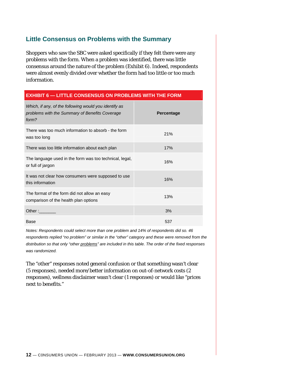#### **Little Consensus on Problems with the Summary**

Shoppers who saw the SBC were asked specifically if they felt there were any problems with the form. When a problem was identified, there was little consensus around the nature of the problem (Exhibit 6). Indeed, respondents were almost evenly divided over whether the form had too little or too much information.

| <b>EXHIBIT 6 - LITTLE CONSENSUS ON PROBLEMS WITH THE FORM</b>                                                    |                   |  |
|------------------------------------------------------------------------------------------------------------------|-------------------|--|
| Which, if any, of the following would you identify as<br>problems with the Summary of Benefits Coverage<br>form? | <b>Percentage</b> |  |
| There was too much information to absorb - the form<br>was too long                                              | 21%               |  |
| There was too little information about each plan                                                                 | 17%               |  |
| The language used in the form was too technical, legal,<br>or full of jargon                                     | 16%               |  |
| It was not clear how consumers were supposed to use<br>this information                                          | 16%               |  |
| The format of the form did not allow an easy<br>comparison of the health plan options                            | 13%               |  |
| Other:                                                                                                           | 3%                |  |
| <b>Base</b>                                                                                                      | 537               |  |

*Notes: Respondents could select more than one problem and 14% of respondents did so. 46 respondents replied "no problem" or similar in the "other" category and these were removed from the distribution so that only "other problems" are included in this table. The order of the fixed responses was randomized.* 

The "other" responses noted general confusion or that something wasn't clear (5 responses), needed more/better information on out-of-network costs (2 responses), wellness disclaimer wasn't clear (1 responses) or would like "prices next to benefits."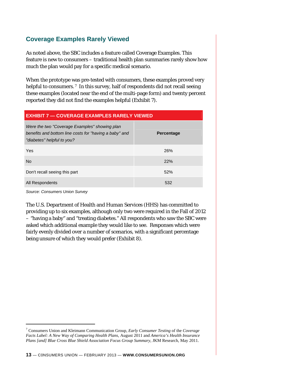### **Coverage Examples Rarely Viewed**

As noted above, the SBC includes a feature called Coverage Examples. This feature is new to consumers – traditional health plan summaries rarely show how much the plan would pay for a specific medical scenario.

When the prototype was pre-tested with consumers, these examples proved very helpful to consumers.<sup>7</sup> In this survey, half of respondents did not recall seeing these examples (located near the end of the multi-page form) and twenty percent reported they did not find the examples helpful (Exhibit 7).

#### **EXHIBIT 7 — COVERAGE EXAMPLES RARELY VIEWED**

| Were the two "Coverage Examples" showing plan<br>benefits and bottom line costs for "having a baby" and<br>"diabetes" helpful to you? | <b>Percentage</b> |
|---------------------------------------------------------------------------------------------------------------------------------------|-------------------|
| Yes                                                                                                                                   | 26%               |
| <b>No</b>                                                                                                                             | 22%               |
| Don't recall seeing this part                                                                                                         | 52%               |
| All Respondents                                                                                                                       | 532               |

*Source: Consumers Union Survey* 

 $\overline{a}$ 

The U.S. Department of Health and Human Services (HHS) has committed to providing up to six examples, although only two were required in the Fall of 2012 – "having a baby" and "treating diabetes." All respondents who saw the SBC were asked which additional example they would like to see. Responses which were fairly evenly divided over a number of scenarios, with a significant percentage being unsure of which they would prefer (Exhibit 8).

<sup>7</sup> Consumers Union and Kleimann Communication Group, *Early Consumer Testing* of the *Coverage Facts Label: A New Way of Comparing Health Plans,* August 2011 and *America's Health Insurance Plans [and] Blue Cross Blue Shield Association Focus Group Summary*, JKM Research, May 2011.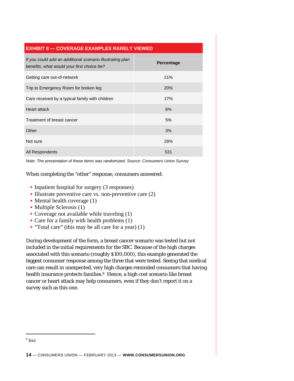#### **EXHIBIT 8 — COVERAGE EXAMPLES RARELY VIEWED**

| If you could add an additional scenario illustrating plan<br>benefits, what would your first choice be? | <b>Percentage</b> |
|---------------------------------------------------------------------------------------------------------|-------------------|
| Getting care out-of-network                                                                             | 21%               |
| Trip to Emergency Room for broken leg                                                                   | 20%               |
| Care received by a typical family with children                                                         | 17%               |
| Heart attack                                                                                            | 6%                |
| Treatment of breast cancer                                                                              | 5%                |
| Other                                                                                                   | 3%                |
| Not sure                                                                                                | 28%               |
| All Respondents                                                                                         | 531               |

*Note: The presentation of these items was randomized. Source: Consumers Union Survey* 

#### When completing the "other" response, consumers answered:

- Inpatient hospital for surgery (3 responses)
- Illustrate preventive care vs. non-preventive care  $(2)$
- Mental health coverage (1)
- Multiple Sclerosis (1)
- Coverage not available while traveling (1)
- Care for a family with health problems (1)
- "Total care" (this may be all care for a year) (1)

During development of the form, a breast cancer scenario was tested but not included in the initial requirements for the SBC. Because of the high charges associated with this scenario (roughly \$100,000), this example generated the biggest consumer response among the three that were tested. Seeing that medical care can result in unexpected, very high charges reminded consumers that having health insurance protects families.<sup>8</sup> Hence, a high cost scenario like breast cancer or heart attack may help consumers, even if they don't report it on a survey such as this one.

 $\overline{a}$ 

<sup>8</sup> Ibid.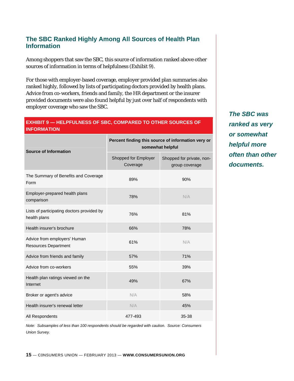#### **The SBC Ranked Highly Among All Sources of Health Plan Information**

Among shoppers that saw the SBC, this source of information ranked above other sources of information in terms of helpfulness (Exhibit 9).

For those with employer-based coverage, employer provided plan summaries also ranked highly, followed by lists of participating doctors provided by health plans. Advice from co-workers, friends and family, the HR department or the insurer provided documents were also found helpful by just over half of respondents with employer coverage who saw the SBC.

#### **EXHIBIT 9 — HELPFULNESS OF SBC, COMPARED TO OTHER SOURCES OF INFORMATION**

| <b>Source of Information</b>                                | Percent finding this source of information very or<br>somewhat helpful |                                             |  |
|-------------------------------------------------------------|------------------------------------------------------------------------|---------------------------------------------|--|
|                                                             | Shopped for Employer<br>Coverage                                       | Shopped for private, non-<br>group coverage |  |
| The Summary of Benefits and Coverage<br>Form                | 89%                                                                    | 90%                                         |  |
| Employer-prepared health plans<br>comparison                | 78%                                                                    | N/A                                         |  |
| Lists of participating doctors provided by<br>health plans  | 76%                                                                    | 81%                                         |  |
| Health insurer's brochure                                   | 66%                                                                    | 78%                                         |  |
| Advice from employers' Human<br><b>Resources Department</b> | 61%                                                                    | N/A                                         |  |
| Advice from friends and family                              | 57%                                                                    | 71%                                         |  |
| Advice from co-workers                                      | 55%                                                                    | 39%                                         |  |
| Health plan ratings viewed on the<br>Internet               | 49%                                                                    | 67%                                         |  |
| Broker or agent's advice                                    | N/A                                                                    | 58%                                         |  |
| Health insurer's renewal letter                             | N/A                                                                    | 45%                                         |  |
| All Respondents                                             | 477-493                                                                | 35-38                                       |  |

*The SBC was ranked as very or somewhat helpful more often than other documents.*

*Note: Subsamples of less than 100 respondents should be regarded with caution. Source: Consumers Union Survey.*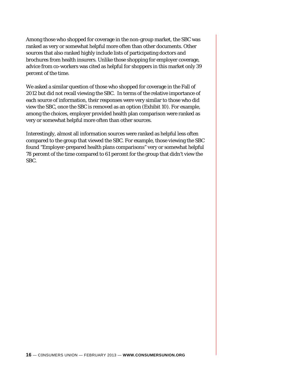Among those who shopped for coverage in the non-group market, the SBC was ranked as very or somewhat helpful more often than other documents. Other sources that also ranked highly include lists of participating doctors and brochures from health insurers. Unlike those shopping for employer coverage, advice from co-workers was cited as helpful for shoppers in this market only 39 percent of the time.

We asked a similar question of those who shopped for coverage in the Fall of 2012 but did *not* recall viewing the SBC. In terms of the relative importance of each source of information, their responses were very similar to those who *did* view the SBC, once the SBC is removed as an option (Exhibit 10). For example, among the choices, employer provided health plan comparison were ranked as very or somewhat helpful more often than other sources.

Interestingly, almost all information sources were ranked as helpful less often compared to the group that viewed the SBC. For example, those viewing the SBC found "Employer-prepared health plans comparisons" very or somewhat helpful 78 percent of the time compared to 61 percent for the group that didn't view the SBC.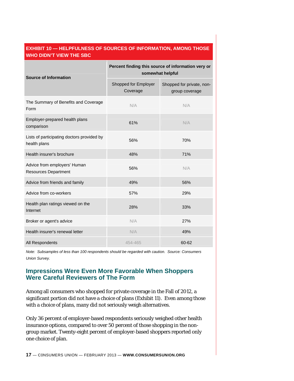#### **EXHIBIT 10 — HELPFULNESS OF SOURCES OF INFORMATION, AMONG THOSE WHO DIDN'T VIEW THE SBC**

| <b>Source of Information</b>                                | Percent finding this source of information very or<br>somewhat helpful |                                             |  |
|-------------------------------------------------------------|------------------------------------------------------------------------|---------------------------------------------|--|
|                                                             | Shopped for Employer<br>Coverage                                       | Shopped for private, non-<br>group coverage |  |
| The Summary of Benefits and Coverage<br>Form                | N/A                                                                    | N/A                                         |  |
| Employer-prepared health plans<br>comparison                | 61%                                                                    | N/A                                         |  |
| Lists of participating doctors provided by<br>health plans  | 56%                                                                    | 70%                                         |  |
| Health insurer's brochure                                   | 48%                                                                    | 71%                                         |  |
| Advice from employers' Human<br><b>Resources Department</b> | 56%                                                                    | N/A                                         |  |
| Advice from friends and family                              | 49%                                                                    | 56%                                         |  |
| Advice from co-workers                                      | 57%                                                                    | 29%                                         |  |
| Health plan ratings viewed on the<br>Internet               | 28%                                                                    | 33%                                         |  |
| Broker or agent's advice                                    | N/A                                                                    | 27%                                         |  |
| Health insurer's renewal letter                             | N/A                                                                    | 49%                                         |  |
| All Respondents                                             | 454-465                                                                | 60-62                                       |  |

*Note: Subsamples of less than 100 respondents should be regarded with caution. Source: Consumers Union Survey.* 

#### **Impressions Were Even More Favorable When Shoppers Were Careful Reviewers of The Form**

Among all consumers who shopped for private coverage in the Fall of 2012, a significant portion did not have a choice of plans (Exhibit 11). Even among those with a choice of plans, many did not seriously weigh alternatives.

Only 36 percent of employer-based respondents seriously weighed other health insurance options, compared to over 50 percent of those shopping in the nongroup market. Twenty-eight percent of employer-based shoppers reported only one choice of plan.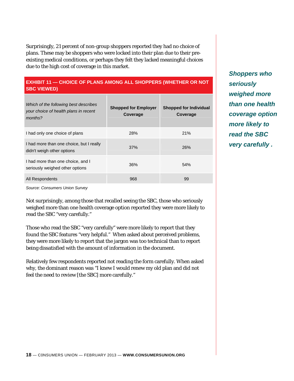Surprisingly, 21 percent of non-group shoppers reported they had no choice of plans. These may be shoppers who were locked into their plan due to their preexisting medical conditions, or perhaps they felt they lacked meaningful choices due to the high cost of coverage in this market.

#### **EXHIBIT 11 — CHOICE OF PLANS AMONG ALL SHOPPERS (WHETHER OR NOT SBC VIEWED)**

| Which of the following best describes<br>your choice of health plans in recent<br>months? | <b>Shopped for Employer</b><br>Coverage | <b>Shopped for Individual</b><br>Coverage |
|-------------------------------------------------------------------------------------------|-----------------------------------------|-------------------------------------------|
| I had only one choice of plans                                                            | <b>28%</b>                              | 21%                                       |
| I had more than one choice, but I really<br>didn't weigh other options                    | 37%                                     | 26%                                       |
| I had more than one choice, and I<br>seriously weighed other options                      | 36%                                     | 54%                                       |
| All Respondents                                                                           | 968                                     | 99                                        |

*Shoppers who seriously weighed more than one health coverage option more likely to read the SBC very carefully .*

*Source: Consumers Union Survey* 

Not surprisingly, among those that recalled seeing the SBC, those who seriously weighed more than one health coverage option reported they were more likely to read the SBC "very carefully."

Those who read the SBC "very carefully" were more likely to report that they found the SBC features "very helpful." When asked about perceived problems, they were more likely to report that the jargon was too technical than to report being dissatisfied with the amount of information in the document.

Relatively few respondents reported not reading the form carefully. When asked why, the dominant reason was "I knew I would renew my old plan and did not feel the need to review [the SBC] more carefully."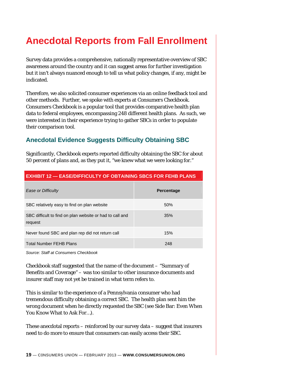## **Anecdotal Reports from Fall Enrollment**

Survey data provides a comprehensive, nationally representative overview of SBC awareness around the country and it can suggest areas for further investigation but it isn't always nuanced enough to tell us what policy changes, if any, might be indicated.

Therefore, we also solicited consumer experiences via an online feedback tool and other methods. Further, we spoke with experts at *Consumers Checkbook. Consumers Checkbook* is a popular tool that provides comparative health plan data to federal employees, encompassing 248 different health plans. As such, we were interested in their experience trying to gather SBCs in order to populate their comparison tool.

### **Anecdotal Evidence Suggests Difficulty Obtaining SBC**

Significantly, *Checkbook* experts reported difficulty obtaining the SBC for about 50 percent of plans and, as they put it, "we knew what we were looking for."

| Ease or Difficulty                                                  | <b>Percentage</b> |
|---------------------------------------------------------------------|-------------------|
| SBC relatively easy to find on plan website                         | 50%               |
| SBC difficult to find on plan website or had to call and<br>request | 35%               |
| Never found SBC and plan rep did not return call                    | 15%               |
| <b>Total Number FEHB Plans</b>                                      | 248               |

#### **EXHIBIT 12 — EASE/DIFFICULTY OF OBTAINING SBCS FOR FEHB PLANS**

*Source: Staff at Consumers Checkbook* 

*Checkbook* staff suggested that the name of the document – "Summary of Benefits and Coverage" – was too similar to other insurance documents and insurer staff may not yet be trained in what term refers to.

This is similar to the experience of a Pennsylvania consumer who had tremendous difficulty obtaining a correct SBC. The health plan sent him the wrong document when he directly requested the SBC (see Side Bar: Even When You Know What to Ask For…).

These anecdotal reports – reinforced by our survey data – suggest that insurers need to do more to ensure that consumers can easily access their SBC.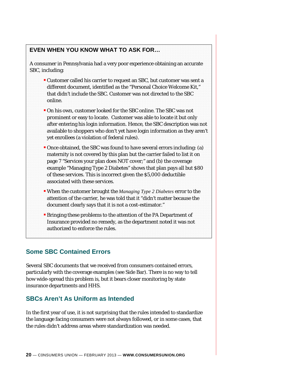#### **EVEN WHEN YOU KNOW WHAT TO ASK FOR…**

A consumer in Pennsylvania had a very poor experience obtaining an accurate SBC, including:

- Customer called his carrier to request an SBC, but customer was sent a different document, identified as the "Personal Choice Welcome Kit," that didn't include the SBC. Customer was not directed to the SBC online.
- On his own, customer looked for the SBC online. The SBC was not prominent or easy to locate. Customer was able to locate it but only after entering his login information. Hence, the SBC description was not available to shoppers who don't yet have login information as they aren't yet enrollees (a violation of federal rules).
- Once obtained, the SBC was found to have several errors including: (a) maternity is not covered by this plan but the carrier failed to list it on page 7 "Services your plan does NOT cover;" and (b) the coverage example "Managing Type 2 Diabetes" shows that plan pays all but \$80 of these services. This is incorrect given the \$5,000 deductible associated with these services.
- When the customer brought the *Managing Type 2 Diabetes* error to the attention of the carrier, he was told that it "didn't matter because the document clearly says that it is not a cost-estimator."
- Bringing these problems to the attention of the PA Department of Insurance provided no remedy, as the department noted it was not authorized to enforce the rules.

### **Some SBC Contained Errors**

Several SBC documents that we received from consumers contained errors, particularly with the coverage examples (see Side Bar). There is no way to tell how wide-spread this problem is, but it bears closer monitoring by state insurance departments and HHS.

#### **SBCs Aren't As Uniform as Intended**

In the first year of use, it is not surprising that the rules intended to standardize the language facing consumers were not always followed, or in some cases, that the rules didn't address areas where standardization was needed.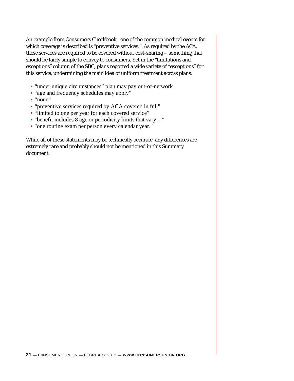An example from *Consumers Checkbook*: one of the common medical events for which coverage is described is "preventive services." As required by the ACA, these services are required to be covered without cost-sharing – something that should be fairly simple to convey to consumers. Yet in the "limitations and exceptions" column of the SBC, plans reported a wide variety of "exceptions" for this service, undermining the main idea of uniform treatment across plans:

- "under unique circumstances" plan may pay out-of-network
- "age and frequency schedules may apply"
- "none"
- " "preventive services required by ACA covered in full"
- "limited to one per year for each covered service"
- "benefit includes 8 age or periodicity limits that vary…"
- "one routine exam per person every calendar year."

While all of these statements may be technically accurate, any differences are extremely rare and probably should not be mentioned in this Summary document.